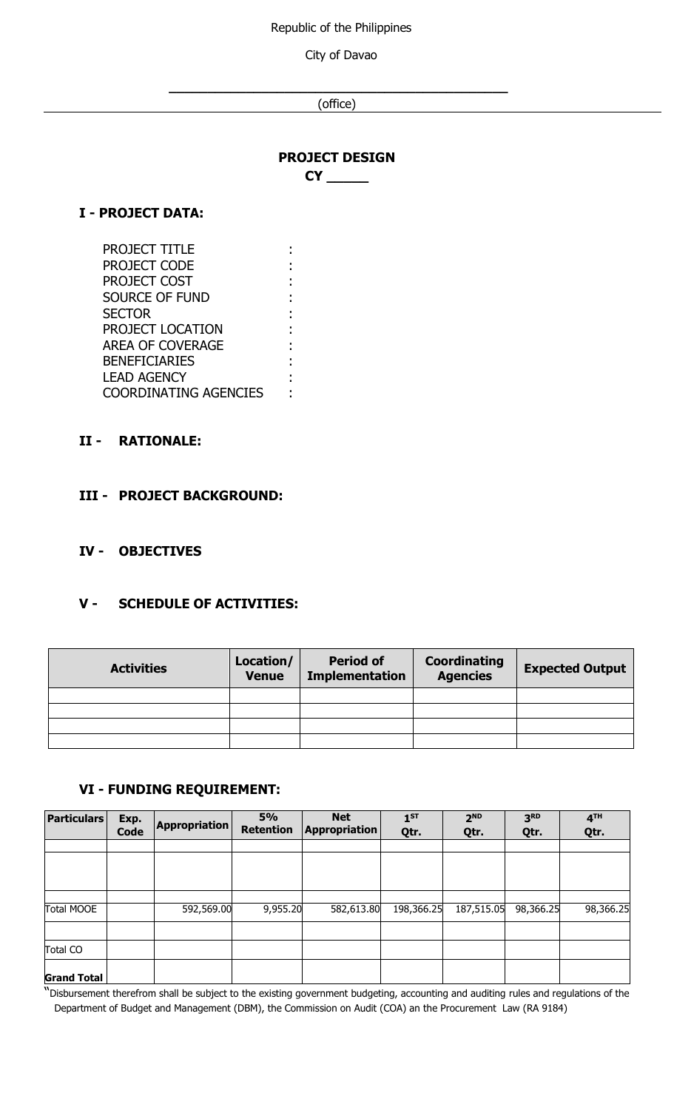Republic of the Philippines

City of Davao

**\_\_\_\_\_\_\_\_\_\_\_\_\_\_\_\_\_\_\_\_\_\_\_\_\_\_\_\_\_\_\_\_\_\_\_\_\_\_\_\_\_\_\_\_** (office)

## **PROJECT DESIGN**

**CY \_\_\_\_\_**

#### **I - PROJECT DATA:**

| <b>PROJECT TITLE</b>         |  |
|------------------------------|--|
| PROJECT CODE                 |  |
| PROJECT COST                 |  |
| SOURCE OF FUND               |  |
| <b>SECTOR</b>                |  |
| PROJECT LOCATION             |  |
| <b>AREA OF COVERAGE</b>      |  |
| <b>BENEFICIARIES</b>         |  |
| <b>LEAD AGENCY</b>           |  |
| <b>COORDINATING AGENCIES</b> |  |

#### **II - RATIONALE:**

### **III - PROJECT BACKGROUND:**

#### **IV - OBJECTIVES**

## **V - SCHEDULE OF ACTIVITIES:**

| <b>Activities</b> | Location/<br><b>Venue</b> | <b>Period of</b><br><b>Implementation</b> | Coordinating<br><b>Agencies</b> | <b>Expected Output</b> |
|-------------------|---------------------------|-------------------------------------------|---------------------------------|------------------------|
|                   |                           |                                           |                                 |                        |
|                   |                           |                                           |                                 |                        |
|                   |                           |                                           |                                 |                        |
|                   |                           |                                           |                                 |                        |

#### **VI - FUNDING REQUIREMENT:**

| <b>Particulars</b> | Exp.<br><b>Code</b> | <b>Appropriation</b> | 5%<br><b>Retention</b> | <b>Net</b><br><b>Appropriation</b> | $1^{ST}$<br>Qtr. | 2 <sub>ND</sub><br>Qtr. | 3 <sup>RD</sup><br>Qtr. | 4 <sup>TH</sup><br>Qtr. |
|--------------------|---------------------|----------------------|------------------------|------------------------------------|------------------|-------------------------|-------------------------|-------------------------|
|                    |                     |                      |                        |                                    |                  |                         |                         |                         |
|                    |                     |                      |                        |                                    |                  |                         |                         |                         |
|                    |                     |                      |                        |                                    |                  |                         |                         |                         |
|                    |                     |                      |                        |                                    |                  |                         |                         |                         |
| <b>Total MOOE</b>  |                     | 592,569.00           | 9,955.20               | 582,613.80                         | 198,366.25       | 187,515.05              | 98,366.25               | 98,366.25               |
|                    |                     |                      |                        |                                    |                  |                         |                         |                         |
| <b>Total CO</b>    |                     |                      |                        |                                    |                  |                         |                         |                         |
| <b>Grand Total</b> |                     |                      |                        |                                    |                  |                         |                         |                         |

"Disbursement therefrom shall be subject to the existing government budgeting, accounting and auditing rules and regulations of the Department of Budget and Management (DBM), the Commission on Audit (COA) an the Procurement Law (RA 9184)